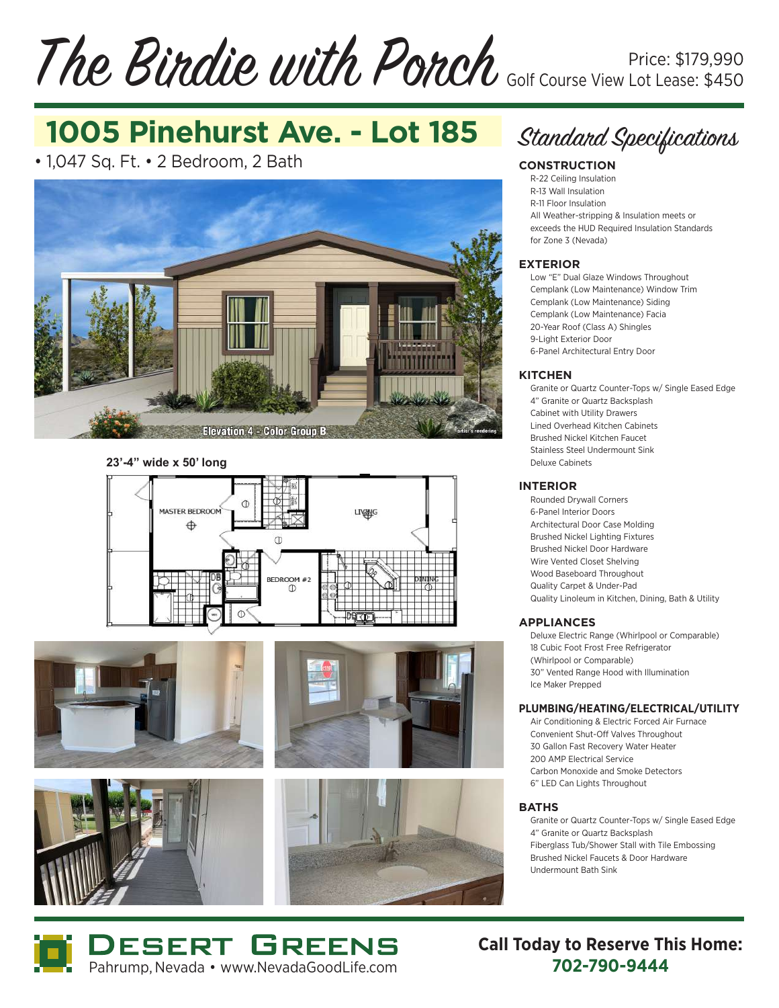### The Birdie with Porch Price: \$179,990 Golf Course View Lot Lease: \$450

# **1005 Pinehurst Ave. - Lot 185**

• 1,047 Sq. Ft. • 2 Bedroom, 2 Bath



**23'-4" wide x 50' long**













#### **CONSTRUCTION**

R-22 Ceiling Insulation R-13 Wall Insulation R-11 Floor Insulation All Weather-stripping & Insulation meets or exceeds the HUD Required Insulation Standards for Zone 3 (Nevada)

### **EXTERIOR**

Low "E" Dual Glaze Windows Throughout Cemplank (Low Maintenance) Window Trim Cemplank (Low Maintenance) Siding Cemplank (Low Maintenance) Facia 20-Year Roof (Class A) Shingles 9-Light Exterior Door 6-Panel Architectural Entry Door

#### **KITCHEN**

Granite or Quartz Counter-Tops w/ Single Eased Edge 4" Granite or Quartz Backsplash Cabinet with Utility Drawers Lined Overhead Kitchen Cabinets Brushed Nickel Kitchen Faucet Stainless Steel Undermount Sink Deluxe Cabinets

#### **INTERIOR**

Rounded Drywall Corners 6-Panel Interior Doors Architectural Door Case Molding Brushed Nickel Lighting Fixtures Brushed Nickel Door Hardware Wire Vented Closet Shelving Wood Baseboard Throughout Quality Carpet & Under-Pad Quality Linoleum in Kitchen, Dining, Bath & Utility

### **APPLIANCES**

Deluxe Electric Range (Whirlpool or Comparable) 18 Cubic Foot Frost Free Refrigerator (Whirlpool or Comparable) 30" Vented Range Hood with Illumination Ice Maker Prepped

#### **PLUMBING/HEATING/ELECTRICAL/UTILITY**

Air Conditioning & Electric Forced Air Furnace Convenient Shut-Off Valves Throughout 30 Gallon Fast Recovery Water Heater 200 AMP Electrical Service Carbon Monoxide and Smoke Detectors 6" LED Can Lights Throughout

### **BATHS**

Granite or Quartz Counter-Tops w/ Single Eased Edge 4" Granite or Quartz Backsplash Fiberglass Tub/Shower Stall with Tile Embossing Brushed Nickel Faucets & Door Hardware Undermount Bath Sink



**Call Today to Reserve This Home:**